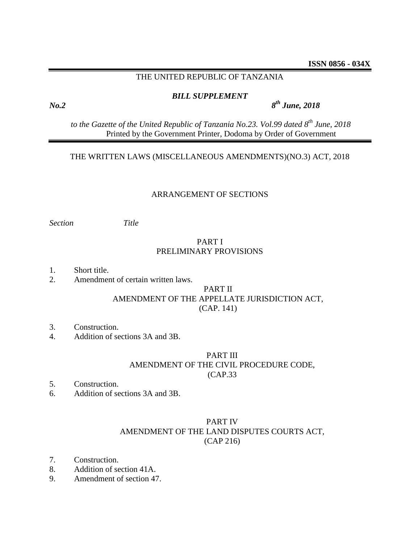### THE UNITED REPUBLIC OF TANZANIA

### *BILL SUPPLEMENT*

*th June, 2018*

*to the Gazette of the United Republic of Tanzania No.23. Vol.99 dated 8 th June, 2018* Printed by the Government Printer, Dodoma by Order of Government

### THE WRITTEN LAWS (MISCELLANEOUS AMENDMENTS)(NO.3) ACT, 2018

### ARRANGEMENT OF SECTIONS

*Section Title*

# PART I PRELIMINARY PROVISIONS

- 1. Short title.
- 2. Amendment of certain written laws.

### PART II AMENDMENT OF THE APPELLATE JURISDICTION ACT, (CAP. 141)

- 3. Construction.
- 4. Addition of sections 3A and 3B.

# PART III AMENDMENT OF THE CIVIL PROCEDURE CODE, (CAP.33

- 5. Construction.
- 6. Addition of sections 3A and 3B.

# PART IV AMENDMENT OF THE LAND DISPUTES COURTS ACT, (CAP 216)

- 7. Construction.
- 8. Addition of section 41A.
- 9. Amendment of section 47.

*No.2 8*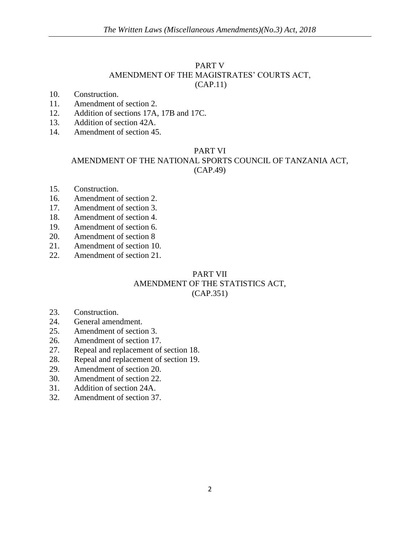### PART V AMENDMENT OF THE MAGISTRATES' COURTS ACT, (CAP.11)

- 10. Construction.
- 11. Amendment of section 2.
- 12. Addition of sections 17A, 17B and 17C.
- 13. Addition of section 42A.
- 14. Amendment of section 45.

### PART VI

# AMENDMENT OF THE NATIONAL SPORTS COUNCIL OF TANZANIA ACT, (CAP.49)

- 15. Construction.
- 16. Amendment of section 2.
- 17. Amendment of section 3.
- 18. Amendment of section 4.
- 19. Amendment of section 6.
- 20. Amendment of section 8
- 21. Amendment of section 10.
- 22. Amendment of section 21.

### PART VII AMENDMENT OF THE STATISTICS ACT, (CAP.351)

- 23. Construction.
- 24. General amendment.
- 25. Amendment of section 3.
- 26. Amendment of section 17.
- 27. Repeal and replacement of section 18.
- 28. Repeal and replacement of section 19.
- 29. Amendment of section 20.
- 30. Amendment of section 22.
- 31. Addition of section 24A.
- 32. Amendment of section 37.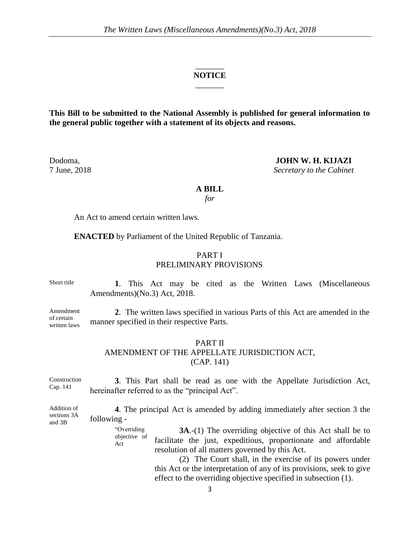### $\overline{\phantom{a}}$ **NOTICE** \_\_\_\_\_\_\_

**This Bill to be submitted to the National Assembly is published for general information to the general public together with a statement of its objects and reasons.**

Dodoma, **JOHN W. H. KIJAZI** 7 June, 2018 *Secretary to the Cabinet*

#### **A BILL**

*for*

An Act to amend certain written laws.

**ENACTED** by Parliament of the United Republic of Tanzania.

### PART I PRELIMINARY PROVISIONS

Short title **1**. This Act may be cited as the Written Laws (Miscellaneous Amendments)(No.3) Act, 2018.

Amendment of certain written laws **2**. The written laws specified in various Parts of this Act are amended in the manner specified in their respective Parts.

### PART II

# AMENDMENT OF THE APPELLATE JURISDICTION ACT,

(CAP. 141)

Construction Cap. 141 **3**. This Part shall be read as one with the Appellate Jurisdiction Act, hereinafter referred to as the "principal Act".

Addition of sections 3A and 3B **4**. The principal Act is amended by adding immediately after section 3 the following -

> "Overriding objective of Act

**3A.**-(1) The overriding objective of this Act shall be to facilitate the just, expeditious, proportionate and affordable resolution of all matters governed by this Act.

(2) The Court shall, in the exercise of its powers under this Act or the interpretation of any of its provisions, seek to give effect to the overriding objective specified in subsection (1).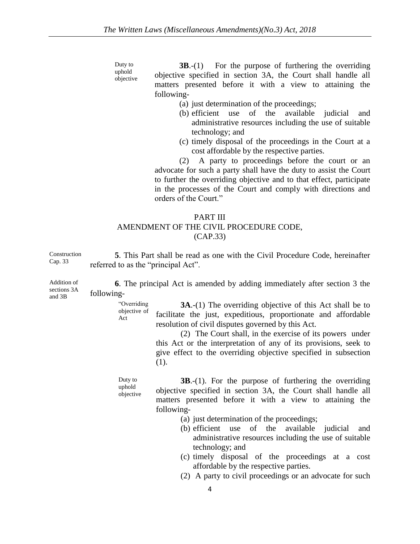objective **3B**.-(1) For the purpose of furthering the overriding objective specified in section 3A, the Court shall handle all matters presented before it with a view to attaining the following-

- (a) just determination of the proceedings;
- (b) efficient use of the available judicial and administrative resources including the use of suitable technology; and
- (c) timely disposal of the proceedings in the Court at a cost affordable by the respective parties.

(2) A party to proceedings before the court or an advocate for such a party shall have the duty to assist the Court to further the overriding objective and to that effect, participate in the processes of the Court and comply with directions and orders of the Court."

### PART III AMENDMENT OF THE CIVIL PROCEDURE CODE, (CAP.33)

Construction Cap. 33 **5**. This Part shall be read as one with the Civil Procedure Code, hereinafter referred to as the "principal Act".

**6**. The principal Act is amended by adding immediately after section 3 the following-

> "Overriding objective of Act **3A**.-(1) The overriding objective of this Act shall be to facilitate the just, expeditious, proportionate and affordable resolution of civil disputes governed by this Act.

> > (2) The Court shall, in the exercise of its powers under this Act or the interpretation of any of its provisions, seek to give effect to the overriding objective specified in subsection (1).

Duty to uphold objective

Duty to uphold

> **3B**.-(1). For the purpose of furthering the overriding objective specified in section 3A, the Court shall handle all matters presented before it with a view to attaining the following-

- (a) just determination of the proceedings;
- (b) efficient use of the available judicial and administrative resources including the use of suitable technology; and
- (c) timely disposal of the proceedings at a cost affordable by the respective parties.
- (2) A party to civil proceedings or an advocate for such

Addition of sections 3A

and 3B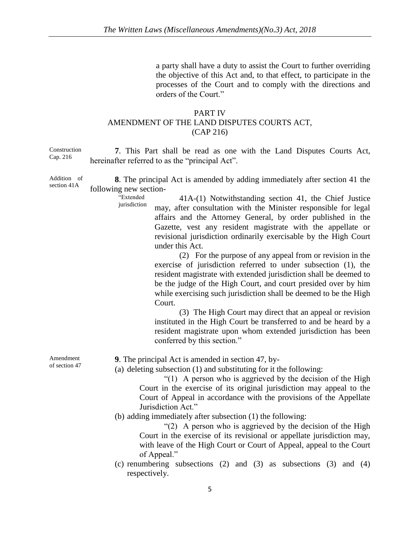a party shall have a duty to assist the Court to further overriding the objective of this Act and, to that effect, to participate in the processes of the Court and to comply with the directions and orders of the Court."

### PART IV AMENDMENT OF THE LAND DISPUTES COURTS ACT, (CAP 216)

Construction Cap. 216

**7**. This Part shall be read as one with the Land Disputes Courts Act, hereinafter referred to as the "principal Act".

Addition of section 41A **8**. The principal Act is amended by adding immediately after section 41 the following new section-

"Extended jurisdiction

41A-(1) Notwithstanding section 41, the Chief Justice may, after consultation with the Minister responsible for legal affairs and the Attorney General, by order published in the Gazette, vest any resident magistrate with the appellate or revisional jurisdiction ordinarily exercisable by the High Court under this Act.

(2) For the purpose of any appeal from or revision in the exercise of jurisdiction referred to under subsection (1), the resident magistrate with extended jurisdiction shall be deemed to be the judge of the High Court, and court presided over by him while exercising such jurisdiction shall be deemed to be the High Court.

(3) The High Court may direct that an appeal or revision instituted in the High Court be transferred to and be heard by a resident magistrate upon whom extended jurisdiction has been conferred by this section."

Amendment of section 47 **9**. The principal Act is amended in section 47, by-

(a) deleting subsection (1) and substituting for it the following:

"(1) A person who is aggrieved by the decision of the High Court in the exercise of its original jurisdiction may appeal to the Court of Appeal in accordance with the provisions of the Appellate Jurisdiction Act."

(b) adding immediately after subsection (1) the following:

"(2) A person who is aggrieved by the decision of the High Court in the exercise of its revisional or appellate jurisdiction may, with leave of the High Court or Court of Appeal, appeal to the Court of Appeal."

(c) renumbering subsections (2) and (3) as subsections (3) and (4) respectively.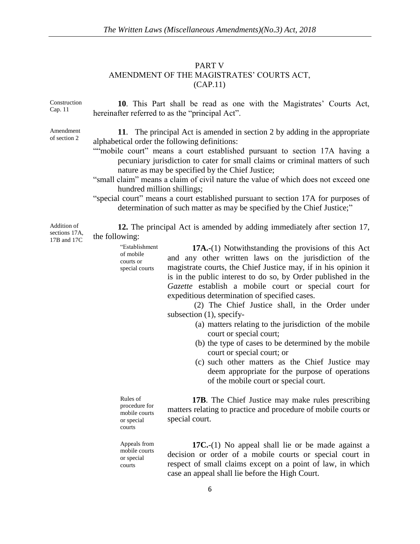#### PART V

# AMENDMENT OF THE MAGISTRATES' COURTS ACT,

(CAP.11)

Construction Cap. 11

Amendment of section 2

**10**. This Part shall be read as one with the Magistrates' Courts Act, hereinafter referred to as the "principal Act".

**11**. The principal Act is amended in section 2 by adding in the appropriate alphabetical order the following definitions:

- ""mobile court" means a court established pursuant to section 17A having a pecuniary jurisdiction to cater for small claims or criminal matters of such nature as may be specified by the Chief Justice;
- "small claim" means a claim of civil nature the value of which does not exceed one hundred million shillings;
- "special court" means a court established pursuant to section 17A for purposes of determination of such matter as may be specified by the Chief Justice;"

**12.** The principal Act is amended by adding immediately after section 17, the following:

> "Establishment special courts **17A.-**(1) Notwithstanding the provisions of this Act and any other written laws on the jurisdiction of the magistrate courts, the Chief Justice may, if in his opinion it is in the public interest to do so, by Order published in the *Gazette* establish a mobile court or special court for expeditious determination of specified cases.

(2) The Chief Justice shall, in the Order under subsection (1), specify-

- (a) matters relating to the jurisdiction of the mobile court or special court;
- (b) the type of cases to be determined by the mobile court or special court; or
- (c) such other matters as the Chief Justice may deem appropriate for the purpose of operations of the mobile court or special court.

procedure for mobile courts **17B**. The Chief Justice may make rules prescribing matters relating to practice and procedure of mobile courts or special court.

Appeals from mobile courts or special courts

Rules of

or special courts

of mobile courts or

> **17C.**-(1) No appeal shall lie or be made against a decision or order of a mobile courts or special court in respect of small claims except on a point of law, in which case an appeal shall lie before the High Court.

Addition of sections 17A, 17B and 17C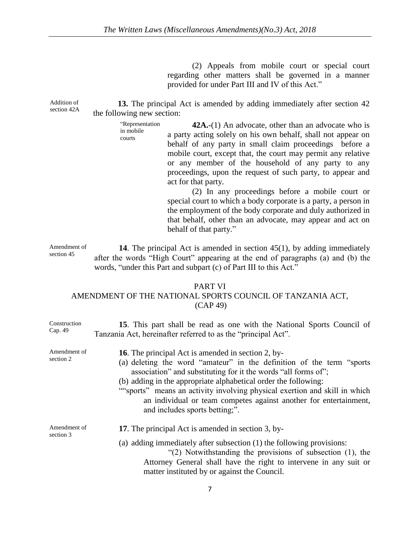(2) Appeals from mobile court or special court regarding other matters shall be governed in a manner provided for under Part III and IV of this Act."

Addition of section 42A **13.** The principal Act is amended by adding immediately after section 42 the following new section:

> in mobile courts

"Representation **42A.-**(1) An advocate, other than an advocate who is a party acting solely on his own behalf, shall not appear on behalf of any party in small claim proceedings before a mobile court, except that, the court may permit any relative or any member of the household of any party to any proceedings, upon the request of such party, to appear and act for that party.

> (2) In any proceedings before a mobile court or special court to which a body corporate is a party, a person in the employment of the body corporate and duly authorized in that behalf, other than an advocate, may appear and act on behalf of that party."

Amendment of section 45

**14**. The principal Act is amended in section 45(1), by adding immediately after the words "High Court" appearing at the end of paragraphs (a) and (b) the words, "under this Part and subpart (c) of Part III to this Act."

#### PART VI

### AMENDMENT OF THE NATIONAL SPORTS COUNCIL OF TANZANIA ACT, (CAP 49)

| Construction<br>Cap. 49   | 15. This part shall be read as one with the National Sports Council of<br>Tanzania Act, hereinafter referred to as the "principal Act".                                                                                                                                                                                                                                                                                                                       |
|---------------------------|---------------------------------------------------------------------------------------------------------------------------------------------------------------------------------------------------------------------------------------------------------------------------------------------------------------------------------------------------------------------------------------------------------------------------------------------------------------|
| Amendment of<br>section 2 | <b>16.</b> The principal Act is amended in section 2, by-<br>(a) deleting the word "amateur" in the definition of the term "sports"<br>association" and substituting for it the words "all forms of";<br>(b) adding in the appropriate alphabetical order the following:<br>""sports" means an activity involving physical exertion and skill in which<br>an individual or team competes against another for entertainment,<br>and includes sports betting;". |
| Amendment of<br>section 3 | 17. The principal Act is amended in section 3, by-<br>(a) adding immediately after subsection (1) the following provisions:<br>"(2) Notwithstanding the provisions of subsection $(1)$ , the<br>Attorney General shall have the right to intervene in any suit or<br>matter instituted by or against the Council.                                                                                                                                             |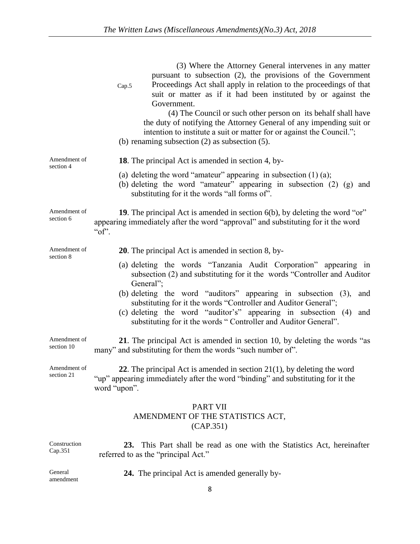|                            | (3) Where the Attorney General intervenes in any matter<br>pursuant to subsection (2), the provisions of the Government<br>Proceedings Act shall apply in relation to the proceedings of that<br>Cap.5<br>suit or matter as if it had been instituted by or against the<br>Government.<br>(4) The Council or such other person on its behalf shall have<br>the duty of notifying the Attorney General of any impending suit or<br>intention to institute a suit or matter for or against the Council.";<br>(b) renaming subsection $(2)$ as subsection $(5)$ . |
|----------------------------|----------------------------------------------------------------------------------------------------------------------------------------------------------------------------------------------------------------------------------------------------------------------------------------------------------------------------------------------------------------------------------------------------------------------------------------------------------------------------------------------------------------------------------------------------------------|
| Amendment of<br>section 4  | <b>18.</b> The principal Act is amended in section 4, by-                                                                                                                                                                                                                                                                                                                                                                                                                                                                                                      |
|                            | (a) deleting the word "amateur" appearing in subsection $(1)$ (a);<br>(b) deleting the word "amateur" appearing in subsection $(2)$ $(g)$ and<br>substituting for it the words "all forms of".                                                                                                                                                                                                                                                                                                                                                                 |
| Amendment of<br>section 6  | 19. The principal Act is amended in section 6(b), by deleting the word "or"<br>appearing immediately after the word "approval" and substituting for it the word<br>" $of$ ".                                                                                                                                                                                                                                                                                                                                                                                   |
| Amendment of<br>section 8  | <b>20</b> . The principal Act is amended in section 8, by-                                                                                                                                                                                                                                                                                                                                                                                                                                                                                                     |
|                            | (a) deleting the words "Tanzania Audit Corporation" appearing in<br>subsection (2) and substituting for it the words "Controller and Auditor<br>General";                                                                                                                                                                                                                                                                                                                                                                                                      |
|                            | (b) deleting the word "auditors" appearing in subsection $(3)$ ,<br>and<br>substituting for it the words "Controller and Auditor General";<br>(c) deleting the word "auditor's" appearing in subsection (4)<br>and<br>substituting for it the words "Controller and Auditor General".                                                                                                                                                                                                                                                                          |
| Amendment of<br>section 10 | 21. The principal Act is amended in section 10, by deleting the words "as<br>many" and substituting for them the words "such number of".                                                                                                                                                                                                                                                                                                                                                                                                                       |
| Amendment of<br>section 21 | 22. The principal Act is amended in section $21(1)$ , by deleting the word<br>"up" appearing immediately after the word "binding" and substituting for it the<br>word "upon".                                                                                                                                                                                                                                                                                                                                                                                  |
|                            | <b>PART VII</b><br>AMENDMENT OF THE STATISTICS ACT,<br>(CAP.351)                                                                                                                                                                                                                                                                                                                                                                                                                                                                                               |
| Construction               | 23. This Part shall be read as one with the Statistics Act. hereinafter                                                                                                                                                                                                                                                                                                                                                                                                                                                                                        |

Cap.351 **23.** This Part shall be read as one with the Statistics Act, hereinafter referred to as the "principal Act."

General amendment **24.** The principal Act is amended generally by-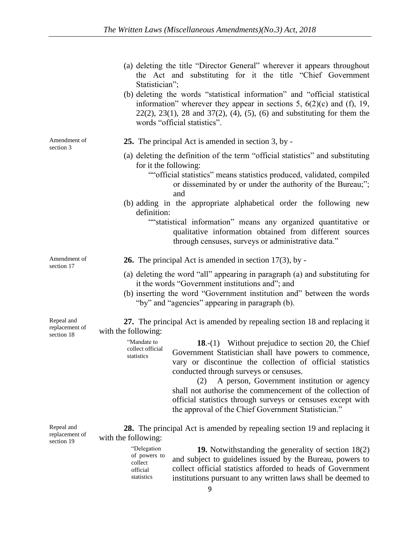- (a) deleting the title "Director General" wherever it appears throughout the Act and substituting for it the title "Chief Government Statistician";
- (b) deleting the words "statistical information" and "official statistical information" wherever they appear in sections 5,  $6(2)(c)$  and (f), 19, 22(2), 23(1), 28 and 37(2), (4), (5), (6) and substituting for them the words "official statistics".

Amendment of section 3

- **25.** The principal Act is amended in section 3, by -
- (a) deleting the definition of the term "official statistics" and substituting for it the following:
	- ""official statistics" means statistics produced, validated, compiled or disseminated by or under the authority of the Bureau;"; and
- (b) adding in the appropriate alphabetical order the following new definition:

""statistical information" means any organized quantitative or qualitative information obtained from different sources through censuses, surveys or administrative data."

Amendment of section 17

- **26.** The principal Act is amended in section 17(3), by -
- (a) deleting the word "all" appearing in paragraph (a) and substituting for it the words "Government institutions and"; and
- (b) inserting the word "Government institution and" between the words "by" and "agencies" appearing in paragraph (b).

Repeal and replacement of section 18

**27.** The principal Act is amended by repealing section 18 and replacing it with the following:

> "Mandate to collect official **18.**-(1) Without prejudice to section 20, the Chief Government Statistician shall have powers to commence, vary or discontinue the collection of official statistics conducted through surveys or censuses.

> > (2) A person, Government institution or agency shall not authorise the commencement of the collection of official statistics through surveys or censuses except with the approval of the Chief Government Statistician."

Repeal and replacement of section 19

**28.** The principal Act is amended by repealing section 19 and replacing it with the following:

> "Delegation of powers to collect official statistics

statistics

**19.** Notwithstanding the generality of section 18(2) and subject to guidelines issued by the Bureau, powers to collect official statistics afforded to heads of Government institutions pursuant to any written laws shall be deemed to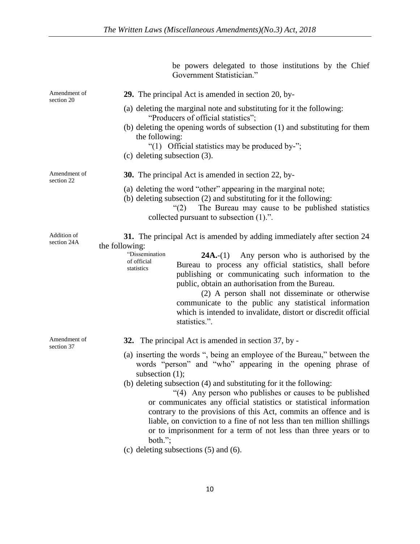be powers delegated to those institutions by the Chief

Government Statistician." Amendment of section 20 **29.** The principal Act is amended in section 20, by- (a) deleting the marginal note and substituting for it the following: "Producers of official statistics"; (b) deleting the opening words of subsection (1) and substituting for them the following: "(1) Official statistics may be produced by-"; (c) deleting subsection (3). Amendment of section 22 **30.** The principal Act is amended in section 22, by- (a) deleting the word "other" appearing in the marginal note; (b) deleting subsection (2) and substituting for it the following: "(2) The Bureau may cause to be published statistics collected pursuant to subsection (1).". Addition of section 24A **31.** The principal Act is amended by adding immediately after section 24 the following: "Dissemination of official statistics **24A.**-(1) Any person who is authorised by the Bureau to process any official statistics, shall before publishing or communicating such information to the public, obtain an authorisation from the Bureau. (2) A person shall not disseminate or otherwise communicate to the public any statistical information which is intended to invalidate, distort or discredit official statistics.". Amendment of section 37 **32.** The principal Act is amended in section 37, by - (a) inserting the words ", being an employee of the Bureau," between the words "person" and "who" appearing in the opening phrase of subsection (1); (b) deleting subsection (4) and substituting for it the following: "(4) Any person who publishes or causes to be published or communicates any official statistics or statistical information contrary to the provisions of this Act, commits an offence and is liable, on conviction to a fine of not less than ten million shillings or to imprisonment for a term of not less than three years or to both."; (c) deleting subsections (5) and (6).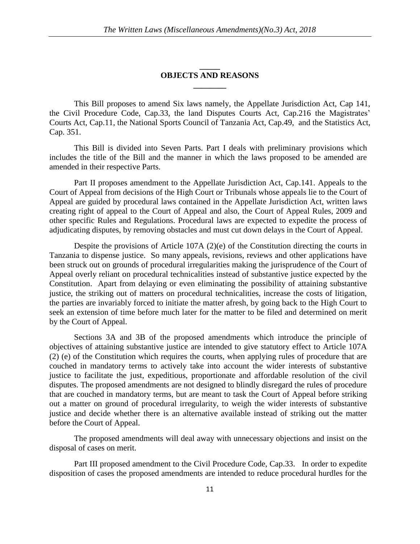### **\_\_\_\_\_ OBJECTS AND REASONS \_\_\_\_\_\_\_\_**

This Bill proposes to amend Six laws namely, the Appellate Jurisdiction Act, Cap 141, the Civil Procedure Code, Cap.33, the land Disputes Courts Act, Cap.216 the Magistrates' Courts Act, Cap.11, the National Sports Council of Tanzania Act, Cap.49, and the Statistics Act, Cap. 351.

This Bill is divided into Seven Parts. Part I deals with preliminary provisions which includes the title of the Bill and the manner in which the laws proposed to be amended are amended in their respective Parts.

Part II proposes amendment to the Appellate Jurisdiction Act, Cap.141. Appeals to the Court of Appeal from decisions of the High Court or Tribunals whose appeals lie to the Court of Appeal are guided by procedural laws contained in the Appellate Jurisdiction Act, written laws creating right of appeal to the Court of Appeal and also, the Court of Appeal Rules, 2009 and other specific Rules and Regulations. Procedural laws are expected to expedite the process of adjudicating disputes, by removing obstacles and must cut down delays in the Court of Appeal.

Despite the provisions of Article 107A (2)(e) of the Constitution directing the courts in Tanzania to dispense justice. So many appeals, revisions, reviews and other applications have been struck out on grounds of procedural irregularities making the jurisprudence of the Court of Appeal overly reliant on procedural technicalities instead of substantive justice expected by the Constitution. Apart from delaying or even eliminating the possibility of attaining substantive justice, the striking out of matters on procedural technicalities, increase the costs of litigation, the parties are invariably forced to initiate the matter afresh, by going back to the High Court to seek an extension of time before much later for the matter to be filed and determined on merit by the Court of Appeal.

Sections 3A and 3B of the proposed amendments which introduce the principle of objectives of attaining substantive justice are intended to give statutory effect to Article 107A (2) (e) of the Constitution which requires the courts, when applying rules of procedure that are couched in mandatory terms to actively take into account the wider interests of substantive justice to facilitate the just, expeditious, proportionate and affordable resolution of the civil disputes. The proposed amendments are not designed to blindly disregard the rules of procedure that are couched in mandatory terms, but are meant to task the Court of Appeal before striking out a matter on ground of procedural irregularity, to weigh the wider interests of substantive justice and decide whether there is an alternative available instead of striking out the matter before the Court of Appeal.

The proposed amendments will deal away with unnecessary objections and insist on the disposal of cases on merit.

Part III proposed amendment to the Civil Procedure Code, Cap.33. In order to expedite disposition of cases the proposed amendments are intended to reduce procedural hurdles for the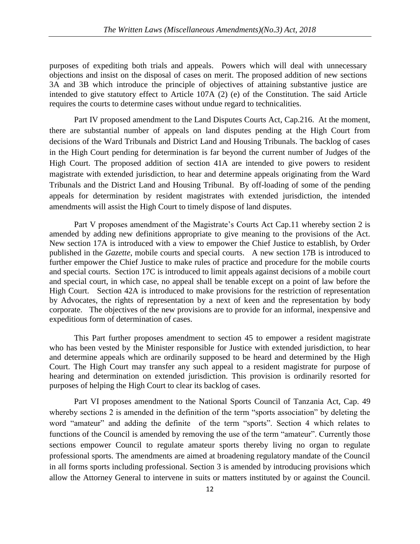purposes of expediting both trials and appeals. Powers which will deal with unnecessary objections and insist on the disposal of cases on merit. The proposed addition of new sections 3A and 3B which introduce the principle of objectives of attaining substantive justice are intended to give statutory effect to Article 107A (2) (e) of the Constitution. The said Article requires the courts to determine cases without undue regard to technicalities.

Part IV proposed amendment to the Land Disputes Courts Act, Cap.216. At the moment, there are substantial number of appeals on land disputes pending at the High Court from decisions of the Ward Tribunals and District Land and Housing Tribunals. The backlog of cases in the High Court pending for determination is far beyond the current number of Judges of the High Court. The proposed addition of section 41A are intended to give powers to resident magistrate with extended jurisdiction, to hear and determine appeals originating from the Ward Tribunals and the District Land and Housing Tribunal. By off-loading of some of the pending appeals for determination by resident magistrates with extended jurisdiction, the intended amendments will assist the High Court to timely dispose of land disputes.

Part V proposes amendment of the Magistrate's Courts Act Cap.11 whereby section 2 is amended by adding new definitions appropriate to give meaning to the provisions of the Act. New section 17A is introduced with a view to empower the Chief Justice to establish, by Order published in the *Gazette*, mobile courts and special courts. A new section 17B is introduced to further empower the Chief Justice to make rules of practice and procedure for the mobile courts and special courts. Section 17C is introduced to limit appeals against decisions of a mobile court and special court, in which case, no appeal shall be tenable except on a point of law before the High Court. Section 42A is introduced to make provisions for the restriction of representation by Advocates, the rights of representation by a next of keen and the representation by body corporate. The objectives of the new provisions are to provide for an informal, inexpensive and expeditious form of determination of cases.

This Part further proposes amendment to section 45 to empower a resident magistrate who has been vested by the Minister responsible for Justice with extended jurisdiction, to hear and determine appeals which are ordinarily supposed to be heard and determined by the High Court. The High Court may transfer any such appeal to a resident magistrate for purpose of hearing and determination on extended jurisdiction. This provision is ordinarily resorted for purposes of helping the High Court to clear its backlog of cases.

Part VI proposes amendment to the National Sports Council of Tanzania Act, Cap. 49 whereby sections 2 is amended in the definition of the term "sports association" by deleting the word "amateur" and adding the definite of the term "sports". Section 4 which relates to functions of the Council is amended by removing the use of the term "amateur". Currently those sections empower Council to regulate amateur sports thereby living no organ to regulate professional sports. The amendments are aimed at broadening regulatory mandate of the Council in all forms sports including professional. Section 3 is amended by introducing provisions which allow the Attorney General to intervene in suits or matters instituted by or against the Council.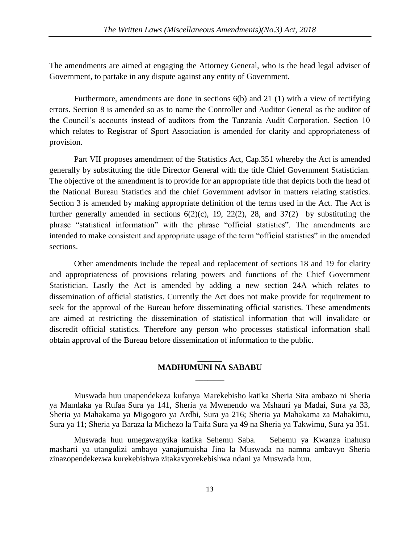The amendments are aimed at engaging the Attorney General, who is the head legal adviser of Government, to partake in any dispute against any entity of Government.

Furthermore, amendments are done in sections 6(b) and 21 (1) with a view of rectifying errors. Section 8 is amended so as to name the Controller and Auditor General as the auditor of the Council's accounts instead of auditors from the Tanzania Audit Corporation. Section 10 which relates to Registrar of Sport Association is amended for clarity and appropriateness of provision.

Part VII proposes amendment of the Statistics Act, Cap.351 whereby the Act is amended generally by substituting the title Director General with the title Chief Government Statistician. The objective of the amendment is to provide for an appropriate title that depicts both the head of the National Bureau Statistics and the chief Government advisor in matters relating statistics. Section 3 is amended by making appropriate definition of the terms used in the Act. The Act is further generally amended in sections  $6(2)(c)$ , 19, 22(2), 28, and 37(2) by substituting the phrase "statistical information" with the phrase "official statistics". The amendments are intended to make consistent and appropriate usage of the term "official statistics" in the amended sections.

Other amendments include the repeal and replacement of sections 18 and 19 for clarity and appropriateness of provisions relating powers and functions of the Chief Government Statistician. Lastly the Act is amended by adding a new section 24A which relates to dissemination of official statistics. Currently the Act does not make provide for requirement to seek for the approval of the Bureau before disseminating official statistics. These amendments are aimed at restricting the dissemination of statistical information that will invalidate or discredit official statistics. Therefore any person who processes statistical information shall obtain approval of the Bureau before dissemination of information to the public.

### **\_\_\_\_\_\_ MADHUMUNI NA SABABU \_\_\_\_\_\_\_**

Muswada huu unapendekeza kufanya Marekebisho katika Sheria Sita ambazo ni Sheria ya Mamlaka ya Rufaa Sura ya 141, Sheria ya Mwenendo wa Mshauri ya Madai, Sura ya 33, Sheria ya Mahakama ya Migogoro ya Ardhi, Sura ya 216; Sheria ya Mahakama za Mahakimu, Sura ya 11; Sheria ya Baraza la Michezo la Taifa Sura ya 49 na Sheria ya Takwimu, Sura ya 351.

Muswada huu umegawanyika katika Sehemu Saba. Sehemu ya Kwanza inahusu masharti ya utangulizi ambayo yanajumuisha Jina la Muswada na namna ambavyo Sheria zinazopendekezwa kurekebishwa zitakavyorekebishwa ndani ya Muswada huu.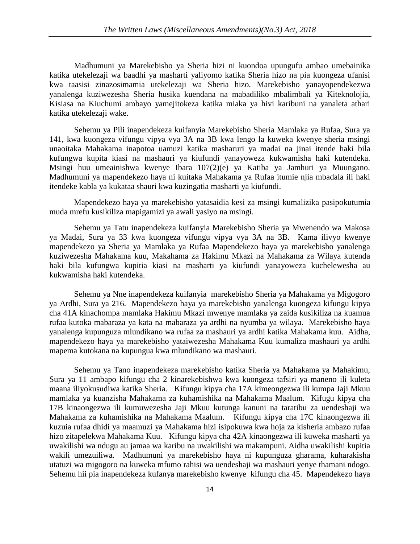Madhumuni ya Marekebisho ya Sheria hizi ni kuondoa upungufu ambao umebainika katika utekelezaji wa baadhi ya masharti yaliyomo katika Sheria hizo na pia kuongeza ufanisi kwa taasisi zinazosimamia utekelezaji wa Sheria hizo. Marekebisho yanayopendekezwa yanalenga kuziwezesha Sheria husika kuendana na mabadiliko mbalimbali ya Kiteknolojia, Kisiasa na Kiuchumi ambayo yamejitokeza katika miaka ya hivi karibuni na yanaleta athari katika utekelezaji wake.

Sehemu ya Pili inapendekeza kuifanyia Marekebisho Sheria Mamlaka ya Rufaa, Sura ya 141, kwa kuongeza vifungu vipya vya 3A na 3B kwa lengo la kuweka kwenye sheria msingi unaoitaka Mahakama inapotoa uamuzi katika masharuri ya madai na jinai itende haki bila kufungwa kupita kiasi na mashauri ya kiufundi yanayoweza kukwamisha haki kutendeka. Msingi huu umeainishwa kwenye Ibara 107(2)(e) ya Katiba ya Jamhuri ya Muungano. Madhumuni ya mapendekezo haya ni kuitaka Mahakama ya Rufaa itumie njia mbadala ili haki itendeke kabla ya kukataa shauri kwa kuzingatia masharti ya kiufundi.

Mapendekezo haya ya marekebisho yatasaidia kesi za msingi kumalizika pasipokutumia muda mrefu kusikiliza mapigamizi ya awali yasiyo na msingi.

Sehemu ya Tatu inapendekeza kuifanyia Marekebisho Sheria ya Mwenendo wa Makosa ya Madai, Sura ya 33 kwa kuongeza vifungu vipya vya 3A na 3B. Kama ilivyo kwenye mapendekezo ya Sheria ya Mamlaka ya Rufaa Mapendekezo haya ya marekebisho yanalenga kuziwezesha Mahakama kuu, Makahama za Hakimu Mkazi na Mahakama za Wilaya kutenda haki bila kufungwa kupitia kiasi na masharti ya kiufundi yanayoweza kuchelewesha au kukwamisha haki kutendeka.

Sehemu ya Nne inapendekeza kuifanyia marekebisho Sheria ya Mahakama ya Migogoro ya Ardhi, Sura ya 216. Mapendekezo haya ya marekebisho yanalenga kuongeza kifungu kipya cha 41A kinachompa mamlaka Hakimu Mkazi mwenye mamlaka ya zaida kusikiliza na kuamua rufaa kutoka mabaraza ya kata na mabaraza ya ardhi na nyumba ya wilaya. Marekebisho haya yanalenga kupunguza mlundikano wa rufaa za mashauri ya ardhi katika Mahakama kuu. Aidha, mapendekezo haya ya marekebisho yataiwezesha Mahakama Kuu kumaliza mashauri ya ardhi mapema kutokana na kupungua kwa mlundikano wa mashauri.

Sehemu ya Tano inapendekeza marekebisho katika Sheria ya Mahakama ya Mahakimu, Sura ya 11 ambapo kifungu cha 2 kinarekebishwa kwa kuongeza tafsiri ya maneno ili kuleta maana iliyokusudiwa katika Sheria. Kifungu kipya cha 17A kimeongezwa ili kumpa Jaji Mkuu mamlaka ya kuanzisha Mahakama za kuhamishika na Mahakama Maalum. Kifugu kipya cha 17B kinaongezwa ili kumuwezesha Jaji Mkuu kutunga kanuni na taratibu za uendeshaji wa Mahakama za kuhamishika na Mahakama Maalum. Kifungu kipya cha 17C kinaongezwa ili kuzuia rufaa dhidi ya maamuzi ya Mahakama hizi isipokuwa kwa hoja za kisheria ambazo rufaa hizo zitapelekwa Mahakama Kuu. Kifungu kipya cha 42A kinaongezwa ili kuweka masharti ya uwakilishi wa ndugu au jamaa wa karibu na uwakilishi wa makampuni. Aidha uwakilishi kupitia wakili umezuiliwa. Madhumuni ya marekebisho haya ni kupunguza gharama, kuharakisha utatuzi wa migogoro na kuweka mfumo rahisi wa uendeshaji wa mashauri yenye thamani ndogo. Sehemu hii pia inapendekeza kufanya marekebisho kwenye kifungu cha 45. Mapendekezo haya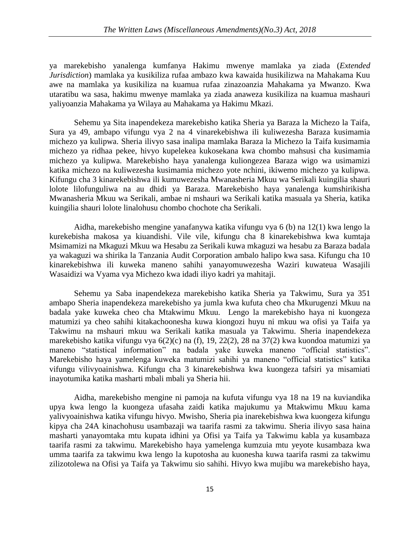ya marekebisho yanalenga kumfanya Hakimu mwenye mamlaka ya ziada (*Extended Jurisdiction*) mamlaka ya kusikiliza rufaa ambazo kwa kawaida husikilizwa na Mahakama Kuu awe na mamlaka ya kusikiliza na kuamua rufaa zinazoanzia Mahakama ya Mwanzo. Kwa utaratibu wa sasa, hakimu mwenye mamlaka ya ziada anaweza kusikiliza na kuamua mashauri yaliyoanzia Mahakama ya Wilaya au Mahakama ya Hakimu Mkazi.

Sehemu ya Sita inapendekeza marekebisho katika Sheria ya Baraza la Michezo la Taifa, Sura ya 49, ambapo vifungu vya 2 na 4 vinarekebishwa ili kuliwezesha Baraza kusimamia michezo ya kulipwa. Sheria ilivyo sasa inalipa mamlaka Baraza la Michezo la Taifa kusimamia michezo ya ridhaa pekee, hivyo kupelekea kukosekana kwa chombo mahsusi cha kusimamia michezo ya kulipwa. Marekebisho haya yanalenga kuliongezea Baraza wigo wa usimamizi katika michezo na kuliwezesha kusimamia michezo yote nchini, ikiwemo michezo ya kulipwa. Kifungu cha 3 kinarekebishwa ili kumuwezesha Mwanasheria Mkuu wa Serikali kuingilia shauri lolote lilofunguliwa na au dhidi ya Baraza. Marekebisho haya yanalenga kumshirikisha Mwanasheria Mkuu wa Serikali, ambae ni mshauri wa Serikali katika masuala ya Sheria, katika kuingilia shauri lolote linalohusu chombo chochote cha Serikali.

Aidha, marekebisho mengine yanafanywa katika vifungu vya 6 (b) na 12(1) kwa lengo la kurekebisha makosa ya kiuandishi. Vile vile, kifungu cha 8 kinarekebishwa kwa kumtaja Msimamizi na Mkaguzi Mkuu wa Hesabu za Serikali kuwa mkaguzi wa hesabu za Baraza badala ya wakaguzi wa shirika la Tanzania Audit Corporation ambalo halipo kwa sasa. Kifungu cha 10 kinarekebishwa ili kuweka maneno sahihi yanayomuwezesha Waziri kuwateua Wasajili Wasaidizi wa Vyama vya Michezo kwa idadi iliyo kadri ya mahitaji.

Sehemu ya Saba inapendekeza marekebisho katika Sheria ya Takwimu, Sura ya 351 ambapo Sheria inapendekeza marekebisho ya jumla kwa kufuta cheo cha Mkurugenzi Mkuu na badala yake kuweka cheo cha Mtakwimu Mkuu. Lengo la marekebisho haya ni kuongeza matumizi ya cheo sahihi kitakachoonesha kuwa kiongozi huyu ni mkuu wa ofisi ya Taifa ya Takwimu na mshauri mkuu wa Serikali katika masuala ya Takwimu. Sheria inapendekeza marekebisho katika vifungu vya 6(2)(c) na (f), 19, 22(2), 28 na 37(2) kwa kuondoa matumizi ya maneno "statistical information" na badala yake kuweka maneno "official statistics". Marekebisho haya yamelenga kuweka matumizi sahihi ya maneno "official statistics" katika vifungu vilivyoainishwa. Kifungu cha 3 kinarekebishwa kwa kuongeza tafsiri ya misamiati inayotumika katika masharti mbali mbali ya Sheria hii.

Aidha, marekebisho mengine ni pamoja na kufuta vifungu vya 18 na 19 na kuviandika upya kwa lengo la kuongeza ufasaha zaidi katika majukumu ya Mtakwimu Mkuu kama yalivyoainishwa katika vifungu hivyo. Mwisho, Sheria pia inarekebishwa kwa kuongeza kifungu kipya cha 24A kinachohusu usambazaji wa taarifa rasmi za takwimu. Sheria ilivyo sasa haina masharti yanayomtaka mtu kupata idhini ya Ofisi ya Taifa ya Takwimu kabla ya kusambaza taarifa rasmi za takwimu. Marekebisho haya yamelenga kumzuia mtu yeyote kusambaza kwa umma taarifa za takwimu kwa lengo la kupotosha au kuonesha kuwa taarifa rasmi za takwimu zilizotolewa na Ofisi ya Taifa ya Takwimu sio sahihi. Hivyo kwa mujibu wa marekebisho haya,